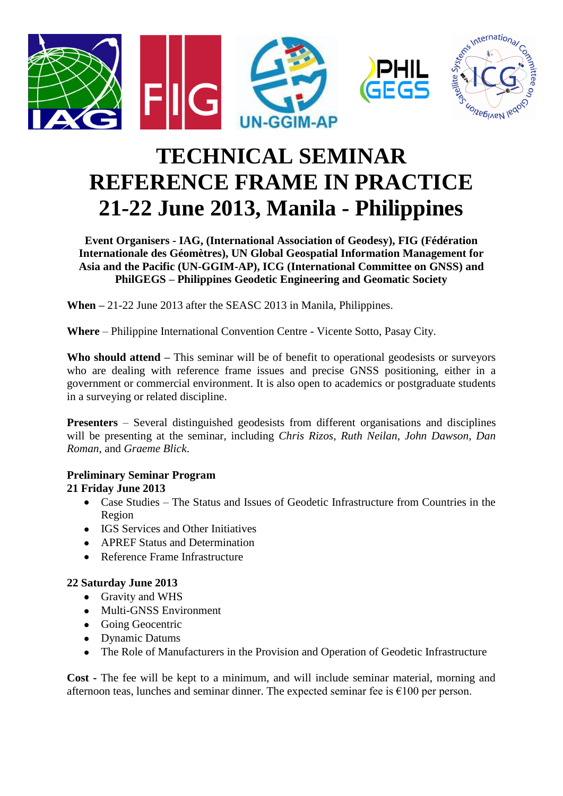

# **TECHNICAL SEMINAR REFERENCE FRAME IN PRACTICE 21-22 June 2013, Manila - Philippines**

**Event Organisers - IAG, (International Association of Geodesy), FIG (Fédération Internationale des Géomètres), UN Global Geospatial Information Management for Asia and the Pacific (UN-GGIM-AP), ICG (International Committee on GNSS) and PhilGEGS – Philippines Geodetic Engineering and Geomatic Society**

**When –** 21-22 June 2013 after the SEASC 2013 in Manila, Philippines.

**Where** – Philippine International Convention Centre - Vicente Sotto, Pasay City.

**Who should attend –** This seminar will be of benefit to operational geodesists or surveyors who are dealing with reference frame issues and precise GNSS positioning, either in a government or commercial environment. It is also open to academics or postgraduate students in a surveying or related discipline.

**Presenters** – Several distinguished geodesists from different organisations and disciplines will be presenting at the seminar, including *Chris Rizos, Ruth Neilan, John Dawson, Dan Roman*, and *Graeme Blick*.

## **Preliminary Seminar Program**

### **21 Friday June 2013**

- Case Studies The Status and Issues of Geodetic Infrastructure from Countries in the Region
- IGS Services and Other Initiatives
- APREF Status and Determination
- Reference Frame Infrastructure

### **22 Saturday June 2013**

- Gravity and WHS
- Multi-GNSS Environment
- Going Geocentric
- Dynamic Datums
- The Role of Manufacturers in the Provision and Operation of Geodetic Infrastructure

**Cost -** The fee will be kept to a minimum, and will include seminar material, morning and afternoon teas, lunches and seminar dinner. The expected seminar fee is  $\epsilon$ 100 per person.